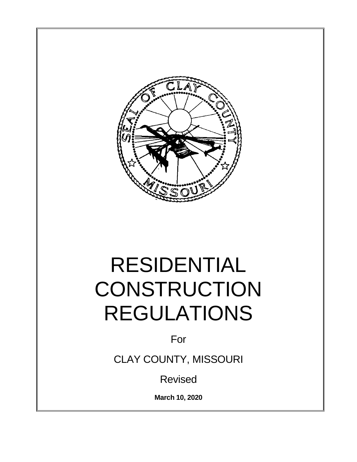

# RESIDENTIAL **CONSTRUCTION** REGULATIONS

For

CLAY COUNTY, MISSOURI

Revised

**March 10, 2020**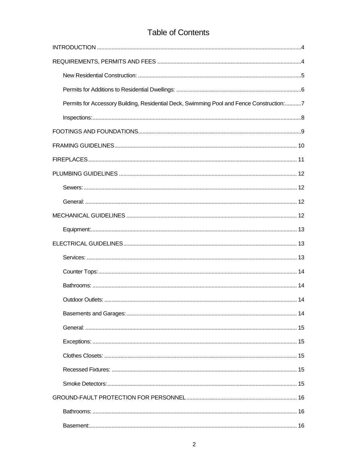#### **Table of Contents**

| Permits for Accessory Building, Residential Deck, Swimming Pool and Fence Construction:7 |
|------------------------------------------------------------------------------------------|
|                                                                                          |
|                                                                                          |
|                                                                                          |
|                                                                                          |
|                                                                                          |
|                                                                                          |
|                                                                                          |
|                                                                                          |
|                                                                                          |
|                                                                                          |
|                                                                                          |
|                                                                                          |
|                                                                                          |
|                                                                                          |
|                                                                                          |
|                                                                                          |
|                                                                                          |
|                                                                                          |
|                                                                                          |
|                                                                                          |
|                                                                                          |
|                                                                                          |
|                                                                                          |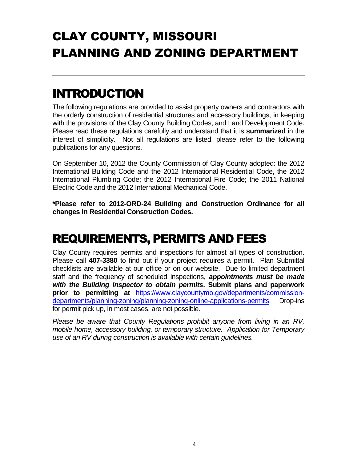# CLAY COUNTY, MISSOURI PLANNING AND ZONING DEPARTMENT

### INTRODUCTION

The following regulations are provided to assist property owners and contractors with the orderly construction of residential structures and accessory buildings, in keeping with the provisions of the Clay County Building Codes, and Land Development Code. Please read these regulations carefully and understand that it is **summarized** in the interest of simplicity. Not all regulations are listed, please refer to the following publications for any questions.

On September 10, 2012 the County Commission of Clay County adopted: the 2012 International Building Code and the 2012 International Residential Code, the 2012 International Plumbing Code; the 2012 International Fire Code; the 2011 National Electric Code and the 2012 International Mechanical Code.

**\*Please refer to 2012-ORD-24 Building and Construction Ordinance for all changes in Residential Construction Codes.**

### REQUIREMENTS, PERMITS AND FEES

Clay County requires permits and inspections for almost all types of construction. Please call **407-3380** to find out if your project requires a permit. Plan Submittal checklists are available at our office or on our website. Due to limited department staff and the frequency of scheduled inspections, *appointments must be made with the Building Inspector to obtain permits***. Submit plans and paperwork prior to permitting at** [https://www.claycountymo.gov/departments/commission](https://www.claycountymo.gov/departments/commission-departments/planning-zoning/planning-zoning-online-applications-permits)[departments/planning-zoning/planning-zoning-online-applications-permits](https://www.claycountymo.gov/departments/commission-departments/planning-zoning/planning-zoning-online-applications-permits). Drop-ins for permit pick up, in most cases, are not possible.

*Please be aware that County Regulations prohibit anyone from living in an RV, mobile home, accessory building, or temporary structure. Application for Temporary use of an RV during construction is available with certain guidelines.*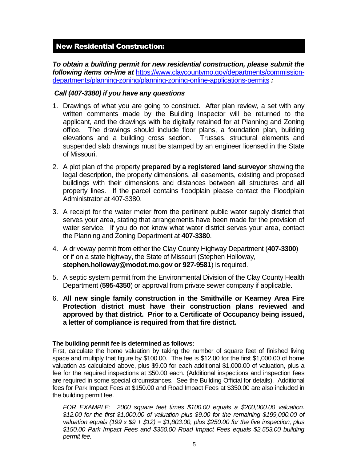#### New Residential Construction:

*To obtain a building permit for new residential construction, please submit the following items on-line at* [https://www.claycountymo.gov/departments/commission](https://www.claycountymo.gov/departments/commission-departments/planning-zoning/planning-zoning-online-applications-permits)[departments/planning-zoning/planning-zoning-online-applications-permits](https://www.claycountymo.gov/departments/commission-departments/planning-zoning/planning-zoning-online-applications-permits) *:* 

#### *Call (407-3380) if you have any questions*

- 1. Drawings of what you are going to construct. After plan review, a set with any written comments made by the Building Inspector will be returned to the applicant, and the drawings with be digitally retained for at Planning and Zoning office. The drawings should include floor plans, a foundation plan, building elevations and a building cross section. Trusses, structural elements and suspended slab drawings must be stamped by an engineer licensed in the State of Missouri.
- 2. A plot plan of the property **prepared by a registered land surveyor** showing the legal description, the property dimensions, all easements, existing and proposed buildings with their dimensions and distances between **all** structures and **all** property lines. If the parcel contains floodplain please contact the Floodplain Administrator at 407-3380.
- 3. A receipt for the water meter from the pertinent public water supply district that serves your area, stating that arrangements have been made for the provision of water service. If you do not know what water district serves your area, contact the Planning and Zoning Department at **407-3380**.
- 4. A driveway permit from either the Clay County Highway Department (**407-3300**) or if on a state highway, the State of Missouri (Stephen Holloway, **stephen.holloway@modot.mo.gov or 927-9581**) is required.
- 5. A septic system permit from the Environmental Division of the Clay County Health Department (**595-4350**) or approval from private sewer company if applicable.
- 6. **All new single family construction in the Smithville or Kearney Area Fire Protection district must have their construction plans reviewed and approved by that district. Prior to a Certificate of Occupancy being issued, a letter of compliance is required from that fire district.**

#### **The building permit fee is determined as follows:**

First, calculate the home valuation by taking the number of square feet of finished living space and multiply that figure by \$100.00. The fee is \$12.00 for the first \$1,000.00 of home valuation as calculated above, plus \$9.00 for each additional \$1,000.00 of valuation, plus a fee for the required inspections at \$50.00 each. (Additional inspections and inspection fees are required in some special circumstances. See the Building Official for details). Additional fees for Park Impact Fees at \$150.00 and Road Impact Fees at \$350.00 are also included in the building permit fee.

*FOR EXAMPLE: 2000 square feet times \$100.00 equals a \$200,000.00 valuation. \$12.00 for the first \$1,000.00 of valuation plus \$9.00 for the remaining \$199,000.00 of valuation equals (199 x \$9 + \$12) = \$1,803.00, plus \$250.00 for the five inspection, plus \$150.00 Park Impact Fees and \$350.00 Road Impact Fees equals \$2,553.00 building permit fee.*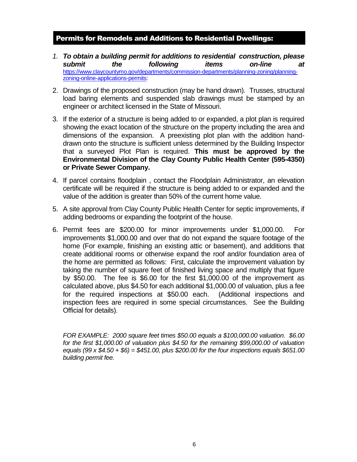#### Permits for Remodels and Additions to Residential Dwellings:

- *1. To obtain a building permit for additions to residential construction, please submit the following items on-line at*  [https://www.claycountymo.gov/departments/commission-departments/planning-zoning/planning](https://www.claycountymo.gov/departments/commission-departments/planning-zoning/planning-zoning-online-applications-permits)[zoning-online-applications-permits:](https://www.claycountymo.gov/departments/commission-departments/planning-zoning/planning-zoning-online-applications-permits)
- 2. Drawings of the proposed construction (may be hand drawn). Trusses, structural load baring elements and suspended slab drawings must be stamped by an engineer or architect licensed in the State of Missouri.
- 3. If the exterior of a structure is being added to or expanded, a plot plan is required showing the exact location of the structure on the property including the area and dimensions of the expansion. A preexisting plot plan with the addition handdrawn onto the structure is sufficient unless determined by the Building Inspector that a surveyed Plot Plan is required. **This must be approved by the Environmental Division of the Clay County Public Health Center (595-4350) or Private Sewer Company.**
- 4. If parcel contains floodplain , contact the Floodplain Administrator, an elevation certificate will be required if the structure is being added to or expanded and the value of the addition is greater than 50% of the current home value.
- 5. A site approval from Clay County Public Health Center for septic improvements, if adding bedrooms or expanding the footprint of the house.
- 6. Permit fees are \$200.00 for minor improvements under \$1,000.00. For improvements \$1,000.00 and over that do not expand the square footage of the home (For example, finishing an existing attic or basement), and additions that create additional rooms or otherwise expand the roof and/or foundation area of the home are permitted as follows: First, calculate the improvement valuation by taking the number of square feet of finished living space and multiply that figure by \$50.00. The fee is \$6.00 for the first \$1,000.00 of the improvement as calculated above, plus \$4.50 for each additional \$1,000.00 of valuation, plus a fee for the required inspections at \$50.00 each. (Additional inspections and inspection fees are required in some special circumstances. See the Building Official for details).

*FOR EXAMPLE: 2000 square feet times \$50.00 equals a \$100,000.00 valuation. \$6.00 for the first \$1,000.00 of valuation plus \$4.50 for the remaining \$99,000.00 of valuation equals (99 x \$4.50 + \$6) = \$451.00, plus \$200.00 for the four inspections equals \$651.00 building permit fee.*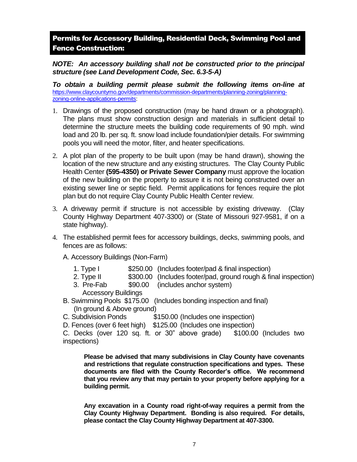Permits for Accessory Building, Residential Deck, Swimming Pool and Fence Construction:

*NOTE: An accessory building shall not be constructed prior to the principal structure (see Land Development Code, Sec. 6.3-5-A)*

*To obtain a building permit please submit the following items on-line at*  [https://www.claycountymo.gov/departments/commission-departments/planning-zoning/planning](https://www.claycountymo.gov/departments/commission-departments/planning-zoning/planning-zoning-online-applications-permits)[zoning-online-applications-permits:](https://www.claycountymo.gov/departments/commission-departments/planning-zoning/planning-zoning-online-applications-permits)

- 1. Drawings of the proposed construction (may be hand drawn or a photograph). The plans must show construction design and materials in sufficient detail to determine the structure meets the building code requirements of 90 mph. wind load and 20 lb. per sq. ft. snow load include foundation/pier details. For swimming pools you will need the motor, filter, and heater specifications.
- 2. A plot plan of the property to be built upon (may be hand drawn), showing the location of the new structure and any existing structures. The Clay County Public Health Center **(595-4350) or Private Sewer Company** must approve the location of the new building on the property to assure it is not being constructed over an existing sewer line or septic field. Permit applications for fences require the plot plan but do not require Clay County Public Health Center review.
- 3. A driveway permit if structure is not accessible by existing driveway. (Clay County Highway Department 407-3300) or (State of Missouri 927-9581, if on a state highway).
- 4. The established permit fees for accessory buildings, decks, swimming pools, and fences are as follows:

A. Accessory Buildings (Non-Farm)

- 1. Type I \$250.00 (Includes footer/pad & final inspection)
- 2. Type II  $\qquad$  \$300.00 (Includes footer/pad, ground rough & final inspection)
- 3. Pre-Fab \$90.00 (includes anchor system) Accessory Buildings
- B. Swimming Pools \$175.00 (Includes bonding inspection and final) (In ground & Above ground)
- C. Subdivision Ponds \$150.00 (Includes one inspection)
- D. Fences (over 6 feet high) \$125.00 (Includes one inspection)

C. Decks (over 120 sq. ft. or 30" above grade) \$100.00 (Includes two inspections)

**Please be advised that many subdivisions in Clay County have covenants and restrictions that regulate construction specifications and types. These documents are filed with the County Recorder's office. We recommend that you review any that may pertain to your property before applying for a building permit.**

**Any excavation in a County road right-of-way requires a permit from the Clay County Highway Department. Bonding is also required. For details, please contact the Clay County Highway Department at 407-3300.**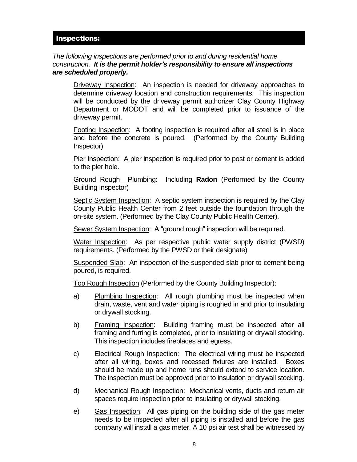#### Inspections:

#### *The following inspections are performed prior to and during residential home construction. It is the permit holder's responsibility to ensure all inspections are scheduled properly.*

Driveway Inspection: An inspection is needed for driveway approaches to determine driveway location and construction requirements. This inspection will be conducted by the driveway permit authorizer Clay County Highway Department or MODOT and will be completed prior to issuance of the driveway permit.

Footing Inspection: A footing inspection is required after all steel is in place and before the concrete is poured. (Performed by the County Building Inspector)

Pier Inspection: A pier inspection is required prior to post or cement is added to the pier hole.

Ground Rough Plumbing: Including **Radon** (Performed by the County Building Inspector)

Septic System Inspection: A septic system inspection is required by the Clay County Public Health Center from 2 feet outside the foundation through the on-site system. (Performed by the Clay County Public Health Center).

Sewer System Inspection: A "ground rough" inspection will be required.

Water Inspection: As per respective public water supply district (PWSD) requirements. (Performed by the PWSD or their designate)

Suspended Slab: An inspection of the suspended slab prior to cement being poured, is required.

Top Rough Inspection (Performed by the County Building Inspector):

- a) Plumbing Inspection: All rough plumbing must be inspected when drain, waste, vent and water piping is roughed in and prior to insulating or drywall stocking.
- b) Framing Inspection: Building framing must be inspected after all framing and furring is completed, prior to insulating or drywall stocking. This inspection includes fireplaces and egress.
- c) Electrical Rough Inspection: The electrical wiring must be inspected after all wiring, boxes and recessed fixtures are installed. Boxes should be made up and home runs should extend to service location. The inspection must be approved prior to insulation or drywall stocking.
- d) Mechanical Rough Inspection: Mechanical vents, ducts and return air spaces require inspection prior to insulating or drywall stocking.
- e) Gas Inspection: All gas piping on the building side of the gas meter needs to be inspected after all piping is installed and before the gas company will install a gas meter. A 10 psi air test shall be witnessed by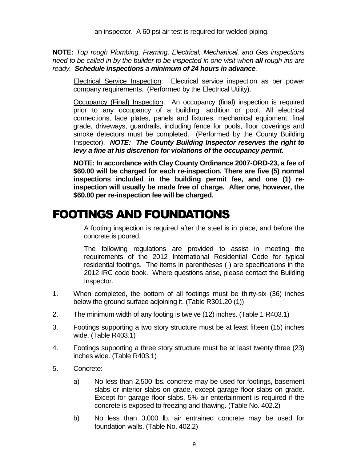**NOTE:** *Top rough Plumbing, Framing, Electrical, Mechanical, and Gas inspections need to be called in by the builder to be inspected in one visit when all rough-ins are ready. Schedule inspections a minimum of 24 hours in advance.*

Electrical Service Inspection: Electrical service inspection as per power company requirements. (Performed by the Electrical Utility).

Occupancy (Final) Inspection: An occupancy (final) inspection is required prior to any occupancy of a building, addition or pool. All electrical connections, face plates, panels and fixtures, mechanical equipment, final grade, driveways, guardrails, including fence for pools, floor coverings and smoke detectors must be completed. (Performed by the County Building Inspector). *NOTE: The County Building Inspector reserves the right to levy a fine at his discretion for violations of the occupancy permit.*

**NOTE: In accordance with Clay County Ordinance 2007-ORD-23, a fee of \$60.00 will be charged for each re-inspection. There are five (5) normal inspections included in the building permit fee, and one (1) reinspection will usually be made free of charge. After one, however, the \$60.00 per re-inspection fee will be charged.**

### FOOTINGS AND FOUNDATIONS

A footing inspection is required after the steel is in place, and before the concrete is poured.

The following regulations are provided to assist in meeting the requirements of the 2012 International Residential Code for typical residential footings. The items in parentheses ( ) are specifications in the 2012 IRC code book. Where questions arise, please contact the Building Inspector.

- 1. When completed, the bottom of all footings must be thirty-six (36) inches below the ground surface adjoining it. (Table R301.20 (1))
- 2. The minimum width of any footing is twelve (12) inches. (Table 1 R403.1)
- 3. Footings supporting a two story structure must be at least fifteen (15) inches wide. (Table R403.1)
- 4. Footings supporting a three story structure must be at least twenty three (23) inches wide. (Table R403.1)
- 5. Concrete:
	- a) No less than 2,500 lbs. concrete may be used for footings, basement slabs or interior slabs on grade, except garage floor slabs on grade. Except for garage floor slabs, 5% air entertainment is required if the concrete is exposed to freezing and thawing. (Table No. 402.2)
	- b) No less than 3,000 lb. air entrained concrete may be used for foundation walls. (Table No. 402.2)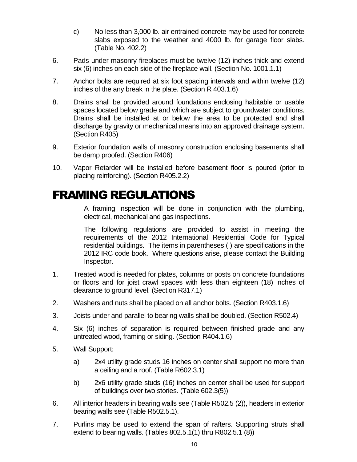- c) No less than 3,000 lb. air entrained concrete may be used for concrete slabs exposed to the weather and 4000 lb. for garage floor slabs. (Table No. 402.2)
- 6. Pads under masonry fireplaces must be twelve (12) inches thick and extend six (6) inches on each side of the fireplace wall. (Section No. 1001.1.1)
- 7. Anchor bolts are required at six foot spacing intervals and within twelve (12) inches of the any break in the plate. (Section R 403.1.6)
- 8. Drains shall be provided around foundations enclosing habitable or usable spaces located below grade and which are subject to groundwater conditions. Drains shall be installed at or below the area to be protected and shall discharge by gravity or mechanical means into an approved drainage system. (Section R405)
- 9. Exterior foundation walls of masonry construction enclosing basements shall be damp proofed. (Section R406)
- 10. Vapor Retarder will be installed before basement floor is poured (prior to placing reinforcing). (Section R405.2.2)

### FRAMING REGULATIONS

A framing inspection will be done in conjunction with the plumbing, electrical, mechanical and gas inspections.

The following regulations are provided to assist in meeting the requirements of the 2012 International Residential Code for Typical residential buildings. The items in parentheses ( ) are specifications in the 2012 IRC code book. Where questions arise, please contact the Building Inspector.

- 1. Treated wood is needed for plates, columns or posts on concrete foundations or floors and for joist crawl spaces with less than eighteen (18) inches of clearance to ground level. (Section R317.1)
- 2. Washers and nuts shall be placed on all anchor bolts. (Section R403.1.6)
- 3. Joists under and parallel to bearing walls shall be doubled. (Section R502.4)
- 4. Six (6) inches of separation is required between finished grade and any untreated wood, framing or siding. (Section R404.1.6)
- 5. Wall Support:
	- a) 2x4 utility grade studs 16 inches on center shall support no more than a ceiling and a roof. (Table R602.3.1)
	- b) 2x6 utility grade studs (16) inches on center shall be used for support of buildings over two stories. (Table 602.3(5))
- 6. All interior headers in bearing walls see (Table R502.5 (2)), headers in exterior bearing walls see (Table R502.5.1).
- 7. Purlins may be used to extend the span of rafters. Supporting struts shall extend to bearing walls. (Tables 802.5.1(1) thru R802.5.1 (8))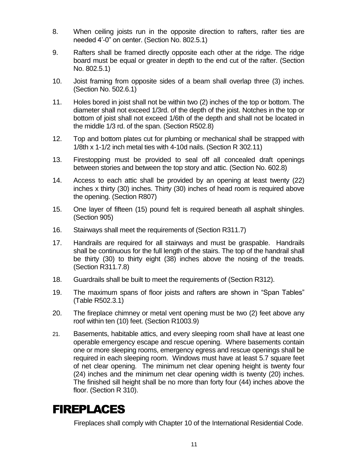- 8. When ceiling joists run in the opposite direction to rafters, rafter ties are needed 4'-0" on center. (Section No. 802.5.1)
- 9. Rafters shall be framed directly opposite each other at the ridge. The ridge board must be equal or greater in depth to the end cut of the rafter. (Section No. 802.5.1)
- 10. Joist framing from opposite sides of a beam shall overlap three (3) inches. (Section No. 502.6.1)
- 11. Holes bored in joist shall not be within two (2) inches of the top or bottom. The diameter shall not exceed 1/3rd. of the depth of the joist. Notches in the top or bottom of joist shall not exceed 1/6th of the depth and shall not be located in the middle 1/3 rd. of the span. (Section R502.8)
- 12. Top and bottom plates cut for plumbing or mechanical shall be strapped with 1/8th x 1-1/2 inch metal ties with 4-10d nails. (Section R 302.11)
- 13. Firestopping must be provided to seal off all concealed draft openings between stories and between the top story and attic. (Section No. 602.8)
- 14. Access to each attic shall be provided by an opening at least twenty (22) inches x thirty (30) inches. Thirty (30) inches of head room is required above the opening. (Section R807)
- 15. One layer of fifteen (15) pound felt is required beneath all asphalt shingles. (Section 905)
- 16. Stairways shall meet the requirements of (Section R311.7)
- 17. Handrails are required for all stairways and must be graspable. Handrails shall be continuous for the full length of the stairs. The top of the handrail shall be thirty (30) to thirty eight (38) inches above the nosing of the treads. (Section R311.7.8)
- 18. Guardrails shall be built to meet the requirements of (Section R312).
- 19. The maximum spans of floor joists and rafters are shown in "Span Tables" (Table R502.3.1)
- 20. The fireplace chimney or metal vent opening must be two (2) feet above any roof within ten (10) feet. (Section R1003.9)
- 21. Basements, habitable attics, and every sleeping room shall have at least one operable emergency escape and rescue opening. Where basements contain one or more sleeping rooms, emergency egress and rescue openings shall be required in each sleeping room. Windows must have at least 5.7 square feet of net clear opening. The minimum net clear opening height is twenty four (24) inches and the minimum net clear opening width is twenty (20) inches. The finished sill height shall be no more than forty four (44) inches above the floor. (Section R 310).

### FIREPLACES

Fireplaces shall comply with Chapter 10 of the International Residential Code.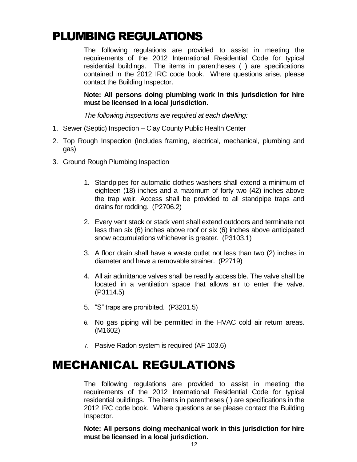### PLUMBING REGULATIONS

The following regulations are provided to assist in meeting the requirements of the 2012 International Residential Code for typical residential buildings. The items in parentheses ( ) are specifications contained in the 2012 IRC code book. Where questions arise, please contact the Building Inspector.

**Note: All persons doing plumbing work in this jurisdiction for hire must be licensed in a local jurisdiction.**

*The following inspections are required at each dwelling:*

- 1. Sewer (Septic) Inspection Clay County Public Health Center
- 2. Top Rough Inspection (Includes framing, electrical, mechanical, plumbing and gas)
- 3. Ground Rough Plumbing Inspection
	- 1. Standpipes for automatic clothes washers shall extend a minimum of eighteen (18) inches and a maximum of forty two (42) inches above the trap weir. Access shall be provided to all standpipe traps and drains for rodding. (P2706.2)
	- 2. Every vent stack or stack vent shall extend outdoors and terminate not less than six (6) inches above roof or six (6) inches above anticipated snow accumulations whichever is greater. (P3103.1)
	- 3. A floor drain shall have a waste outlet not less than two (2) inches in diameter and have a removable strainer. (P2719)
	- 4. All air admittance valves shall be readily accessible. The valve shall be located in a ventilation space that allows air to enter the valve. (P3114.5)
	- 5. "S" traps are prohibited. (P3201.5)
	- 6. No gas piping will be permitted in the HVAC cold air return areas. (M1602)
	- 7. Pasive Radon system is required (AF 103.6)

### MECHANICAL REGULATIONS

The following regulations are provided to assist in meeting the requirements of the 2012 International Residential Code for typical residential buildings. The items in parentheses ( ) are specifications in the 2012 IRC code book. Where questions arise please contact the Building Inspector.

**Note: All persons doing mechanical work in this jurisdiction for hire must be licensed in a local jurisdiction.**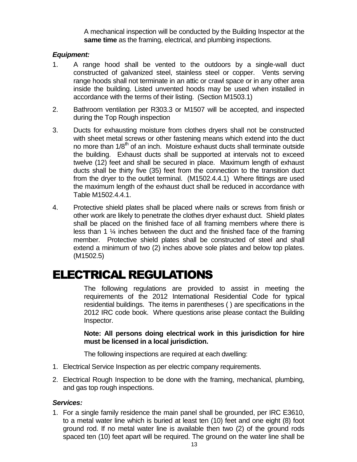A mechanical inspection will be conducted by the Building Inspector at the **same time** as the framing, electrical, and plumbing inspections.

#### *Equipment:*

- 1. A range hood shall be vented to the outdoors by a single-wall duct constructed of galvanized steel, stainless steel or copper. Vents serving range hoods shall not terminate in an attic or crawl space or in any other area inside the building. Listed unvented hoods may be used when installed in accordance with the terms of their listing. (Section M1503.1)
- 2. Bathroom ventilation per R303.3 or M1507 will be accepted, and inspected during the Top Rough inspection
- 3. Ducts for exhausting moisture from clothes dryers shall not be constructed with sheet metal screws or other fastening means which extend into the duct no more than  $1/8<sup>th</sup>$  of an inch. Moisture exhaust ducts shall terminate outside the building. Exhaust ducts shall be supported at intervals not to exceed twelve (12) feet and shall be secured in place. Maximum length of exhaust ducts shall be thirty five (35) feet from the connection to the transition duct from the dryer to the outlet terminal. (M1502.4.4.1) Where fittings are used the maximum length of the exhaust duct shall be reduced in accordance with Table M1502.4.4.1.
- 4. Protective shield plates shall be placed where nails or screws from finish or other work are likely to penetrate the clothes dryer exhaust duct. Shield plates shall be placed on the finished face of all framing members where there is less than 1  $\frac{1}{4}$  inches between the duct and the finished face of the framing member. Protective shield plates shall be constructed of steel and shall extend a minimum of two (2) inches above sole plates and below top plates. (M1502.5)

### ELECTRICAL REGULATIONS

The following regulations are provided to assist in meeting the requirements of the 2012 International Residential Code for typical residential buildings. The items in parentheses ( ) are specifications in the 2012 IRC code book. Where questions arise please contact the Building Inspector.

**Note: All persons doing electrical work in this jurisdiction for hire must be licensed in a local jurisdiction.**

The following inspections are required at each dwelling:

- 1. Electrical Service Inspection as per electric company requirements.
- 2. Electrical Rough Inspection to be done with the framing, mechanical, plumbing, and gas top rough inspections.

#### *Services:*

1. For a single family residence the main panel shall be grounded, per IRC E3610, to a metal water line which is buried at least ten (10) feet and one eight (8) foot ground rod. If no metal water line is available then two (2) of the ground rods spaced ten (10) feet apart will be required. The ground on the water line shall be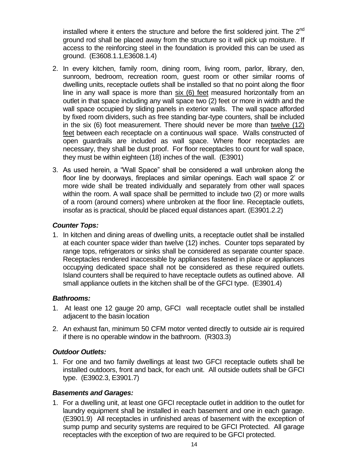installed where it enters the structure and before the first soldered joint. The  $2<sup>nd</sup>$ ground rod shall be placed away from the structure so it will pick up moisture. If access to the reinforcing steel in the foundation is provided this can be used as ground. (E3608.1.1,E3608.1.4)

- 2. In every kitchen, family room, dining room, living room, parlor, library, den, sunroom, bedroom, recreation room, guest room or other similar rooms of dwelling units, receptacle outlets shall be installed so that no point along the floor line in any wall space is more than six (6) feet measured horizontally from an outlet in that space including any wall space two (2) feet or more in width and the wall space occupied by sliding panels in exterior walls. The wall space afforded by fixed room dividers, such as free standing bar-type counters, shall be included in the six  $(6)$  foot measurement. There should never be more than twelve  $(12)$ feet between each receptacle on a continuous wall space. Walls constructed of open guardrails are included as wall space. Where floor receptacles are necessary, they shall be dust proof. For floor receptacles to count for wall space, they must be within eighteen (18) inches of the wall. (E3901)
- 3. As used herein, a "Wall Space" shall be considered a wall unbroken along the floor line by doorways, fireplaces and similar openings. Each wall space 2' or more wide shall be treated individually and separately from other wall spaces within the room. A wall space shall be permitted to include two (2) or more walls of a room (around corners) where unbroken at the floor line. Receptacle outlets, insofar as is practical, should be placed equal distances apart. (E3901.2.2)

#### *Counter Tops:*

1. In kitchen and dining areas of dwelling units, a receptacle outlet shall be installed at each counter space wider than twelve (12) inches. Counter tops separated by range tops, refrigerators or sinks shall be considered as separate counter space. Receptacles rendered inaccessible by appliances fastened in place or appliances occupying dedicated space shall not be considered as these required outlets. Island counters shall be required to have receptacle outlets as outlined above. All small appliance outlets in the kitchen shall be of the GFCI type. (E3901.4)

#### *Bathrooms:*

- 1. At least one 12 gauge 20 amp, GFCI wall receptacle outlet shall be installed adjacent to the basin location
- 2. An exhaust fan, minimum 50 CFM motor vented directly to outside air is required if there is no operable window in the bathroom. (R303.3)

#### *Outdoor Outlets:*

1. For one and two family dwellings at least two GFCI receptacle outlets shall be installed outdoors, front and back, for each unit. All outside outlets shall be GFCI type. (E3902.3, E3901.7)

#### *Basements and Garages:*

1. For a dwelling unit, at least one GFCI receptacle outlet in addition to the outlet for laundry equipment shall be installed in each basement and one in each garage. (E3901.9) All receptacles in unfinished areas of basement with the exception of sump pump and security systems are required to be GFCI Protected. All garage receptacles with the exception of two are required to be GFCI protected.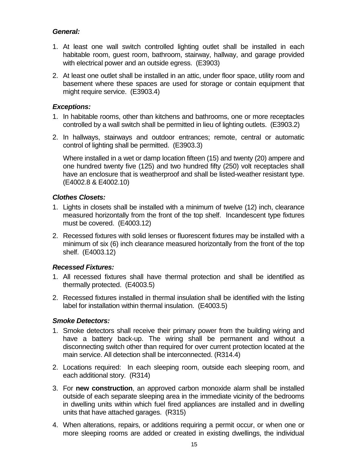#### *General:*

- 1. At least one wall switch controlled lighting outlet shall be installed in each habitable room, guest room, bathroom, stairway, hallway, and garage provided with electrical power and an outside egress. (E3903)
- 2. At least one outlet shall be installed in an attic, under floor space, utility room and basement where these spaces are used for storage or contain equipment that might require service. (E3903.4)

#### *Exceptions:*

- 1. In habitable rooms, other than kitchens and bathrooms, one or more receptacles controlled by a wall switch shall be permitted in lieu of lighting outlets. (E3903.2)
- 2. In hallways, stairways and outdoor entrances; remote, central or automatic control of lighting shall be permitted. (E3903.3)

Where installed in a wet or damp location fifteen (15) and twenty (20) ampere and one hundred twenty five (125) and two hundred fifty (250) volt receptacles shall have an enclosure that is weatherproof and shall be listed-weather resistant type. (E4002.8 & E4002.10)

#### *Clothes Closets:*

- 1. Lights in closets shall be installed with a minimum of twelve (12) inch, clearance measured horizontally from the front of the top shelf. Incandescent type fixtures must be covered. (E4003.12)
- 2. Recessed fixtures with solid lenses or fluorescent fixtures may be installed with a minimum of six (6) inch clearance measured horizontally from the front of the top shelf. (E4003.12)

#### *Recessed Fixtures:*

- 1. All recessed fixtures shall have thermal protection and shall be identified as thermally protected. (E4003.5)
- 2. Recessed fixtures installed in thermal insulation shall be identified with the listing label for installation within thermal insulation. (E4003.5)

#### *Smoke Detectors:*

- 1. Smoke detectors shall receive their primary power from the building wiring and have a battery back-up. The wiring shall be permanent and without a disconnecting switch other than required for over current protection located at the main service. All detection shall be interconnected. (R314.4)
- 2. Locations required: In each sleeping room, outside each sleeping room, and each additional story. (R314)
- 3. For **new construction**, an approved carbon monoxide alarm shall be installed outside of each separate sleeping area in the immediate vicinity of the bedrooms in dwelling units within which fuel fired appliances are installed and in dwelling units that have attached garages. (R315)
- 4. When alterations, repairs, or additions requiring a permit occur, or when one or more sleeping rooms are added or created in existing dwellings, the individual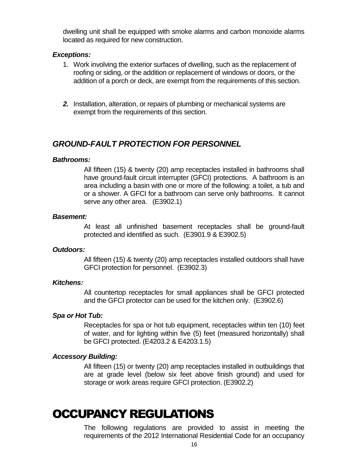dwelling unit shall be equipped with smoke alarms and carbon monoxide alarms located as required for new construction.

#### *Exceptions:*

- 1. Work involving the exterior surfaces of dwelling, such as the replacement of roofing or siding, or the addition or replacement of windows or doors, or the addition of a porch or deck, are exempt from the requirements of this section.
- *2.* Installation, alteration, or repairs of plumbing or mechanical systems are exempt from the requirements of this section.

#### *GROUND-FAULT PROTECTION FOR PERSONNEL*

#### *Bathrooms:*

All fifteen (15) & twenty (20) amp receptacles installed in bathrooms shall have ground-fault circuit interrupter (GFCI) protections. A bathroom is an area including a basin with one or more of the following: a toilet, a tub and or a shower. A GFCI for a bathroom can serve only bathrooms. It cannot serve any other area. (E3902.1)

#### *Basement:*

At least all unfinished basement receptacles shall be ground-fault protected and identified as such. (E3901.9 & E3902.5)

#### *Outdoors:*

All fifteen (15) & twenty (20) amp receptacles installed outdoors shall have GFCI protection for personnel. (E3902.3)

#### *Kitchens:*

All countertop receptacles for small appliances shall be GFCI protected and the GFCI protector can be used for the kitchen only. (E3902.6)

#### *Spa or Hot Tub:*

Receptacles for spa or hot tub equipment, receptacles within ten (10) feet of water, and for lighting within five (5) feet (measured horizontally) shall be GFCI protected. (E4203.2 & E4203.1.5)

#### *Accessory Building:*

All fifteen (15) or twenty (20) amp receptacles installed in outbuildings that are at grade level (below six feet above finish ground) and used for storage or work areas require GFCI protection. (E3902.2)

### OCCUPANCY REGULATIONS

The following regulations are provided to assist in meeting the requirements of the 2012 International Residential Code for an occupancy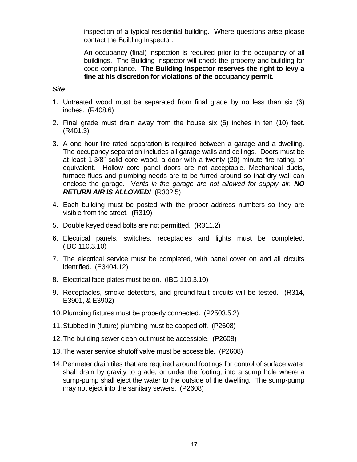inspection of a typical residential building. Where questions arise please contact the Building Inspector.

An occupancy (final) inspection is required prior to the occupancy of all buildings. The Building Inspector will check the property and building for code compliance. **The Building Inspector reserves the right to levy a fine at his discretion for violations of the occupancy permit.**

#### *Site*

- 1. Untreated wood must be separated from final grade by no less than six (6) inches. (R408.6)
- 2. Final grade must drain away from the house six (6) inches in ten (10) feet. (R401.3)
- 3. A one hour fire rated separation is required between a garage and a dwelling. The occupancy separation includes all garage walls and ceilings. Doors must be at least 1-3/8" solid core wood, a door with a twenty (20) minute fire rating, or equivalent. Hollow core panel doors are not acceptable. Mechanical ducts, furnace flues and plumbing needs are to be furred around so that dry wall can enclose the garage. V*ents in the garage are not allowed for supply air. NO RETURN AIR IS ALLOWED!* (R302.5)
- 4. Each building must be posted with the proper address numbers so they are visible from the street. (R319)
- 5. Double keyed dead bolts are not permitted. (R311.2)
- 6. Electrical panels, switches, receptacles and lights must be completed. (IBC 110.3.10)
- 7. The electrical service must be completed, with panel cover on and all circuits identified. (E3404.12)
- 8. Electrical face-plates must be on. (IBC 110.3.10)
- 9. Receptacles, smoke detectors, and ground-fault circuits will be tested. (R314, E3901, & E3902)
- 10.Plumbing fixtures must be properly connected. (P2503.5.2)
- 11.Stubbed-in (future) plumbing must be capped off. (P2608)
- 12.The building sewer clean-out must be accessible. (P2608)
- 13.The water service shutoff valve must be accessible. (P2608)
- 14.Perimeter drain tiles that are required around footings for control of surface water shall drain by gravity to grade, or under the footing, into a sump hole where a sump-pump shall eject the water to the outside of the dwelling. The sump-pump may not eject into the sanitary sewers. (P2608)